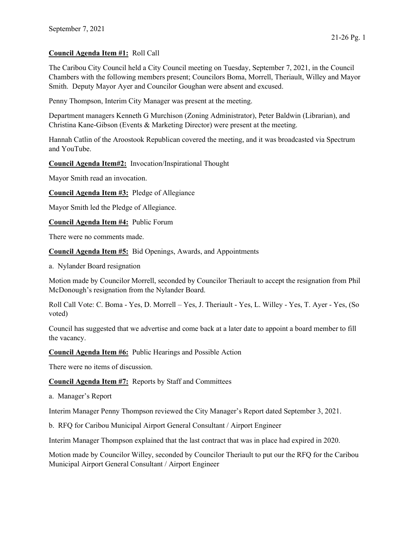## Council Agenda Item #1: Roll Call

The Caribou City Council held a City Council meeting on Tuesday, September 7, 2021, in the Council Chambers with the following members present; Councilors Boma, Morrell, Theriault, Willey and Mayor Smith. Deputy Mayor Ayer and Councilor Goughan were absent and excused.

Penny Thompson, Interim City Manager was present at the meeting.

Department managers Kenneth G Murchison (Zoning Administrator), Peter Baldwin (Librarian), and Christina Kane-Gibson (Events & Marketing Director) were present at the meeting.

Hannah Catlin of the Aroostook Republican covered the meeting, and it was broadcasted via Spectrum and YouTube.

Council Agenda Item#2: Invocation/Inspirational Thought

Mayor Smith read an invocation.

Council Agenda Item #3: Pledge of Allegiance

Mayor Smith led the Pledge of Allegiance.

Council Agenda Item #4: Public Forum

There were no comments made.

Council Agenda Item #5: Bid Openings, Awards, and Appointments

a. Nylander Board resignation

Motion made by Councilor Morrell, seconded by Councilor Theriault to accept the resignation from Phil McDonough's resignation from the Nylander Board.

Roll Call Vote: C. Boma - Yes, D. Morrell – Yes, J. Theriault - Yes, L. Willey - Yes, T. Ayer - Yes, (So voted)

Council has suggested that we advertise and come back at a later date to appoint a board member to fill the vacancy.

Council Agenda Item #6: Public Hearings and Possible Action

There were no items of discussion.

Council Agenda Item #7: Reports by Staff and Committees

a. Manager's Report

Interim Manager Penny Thompson reviewed the City Manager's Report dated September 3, 2021.

b. RFQ for Caribou Municipal Airport General Consultant / Airport Engineer

Interim Manager Thompson explained that the last contract that was in place had expired in 2020.

Motion made by Councilor Willey, seconded by Councilor Theriault to put our the RFQ for the Caribou Municipal Airport General Consultant / Airport Engineer